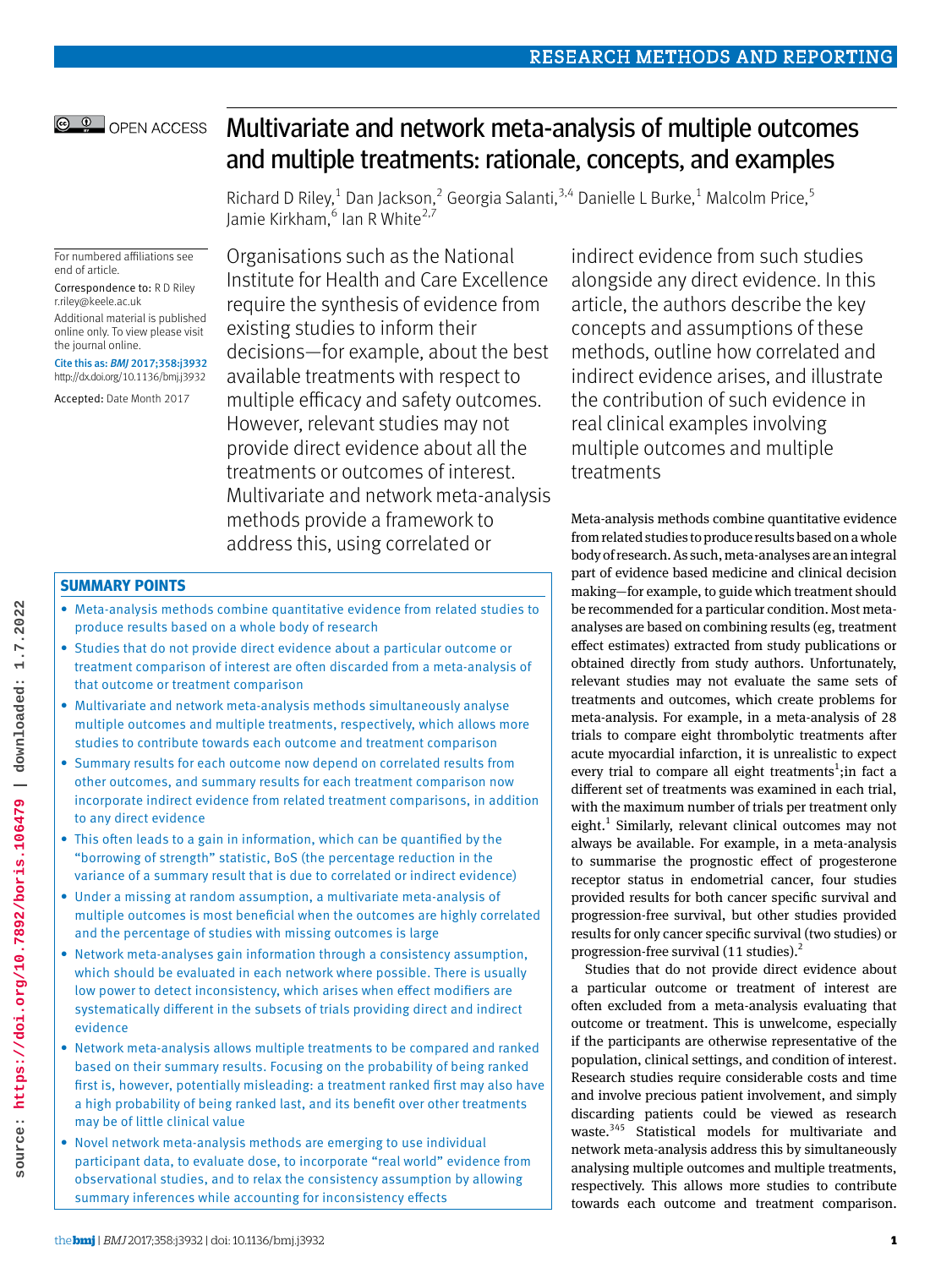# © © OPEN ACCESS

Multivariate and network meta-analysis of multiple outcomes and multiple treatments: rationale, concepts, and examples

Richard D Riley,<sup>1</sup> Dan Jackson,<sup>2</sup> Georgia Salanti,<sup>3,4</sup> Danielle L Burke,<sup>1</sup> Malcolm Price,<sup>5</sup> Jamie Kirkham,<sup>6</sup> Ian R White<sup>2,7</sup>

For numbered affiliations see end of article.

Correspondence to: R D Riley [r.riley@keele.ac.uk](mailto:r.riley@keele.ac.uk)

Additional material is published online only. To view please visit the journal online.

Cite this as: *BMJ* 2017;358:j3932 http://dx.doi.org/10.1136/bmj.j3932

Accepted: Date Month 2017

Organisations such as the National Institute for Health and Care Excellence require the synthesis of evidence from existing studies to inform their decisions—for example, about the best available treatments with respect to multiple efficacy and safety outcomes. However, relevant studies may not provide direct evidence about all the treatments or outcomes of interest. Multivariate and network meta-analysis methods provide a framework to address this, using correlated or

indirect evidence from such studies alongside any direct evidence. In this article, the authors describe the key concepts and assumptions of these methods, outline how correlated and indirect evidence arises, and illustrate the contribution of such evidence in real clinical examples involving multiple outcomes and multiple treatments

## **Summary points**

- Meta-analysis methods combine quantitative evidence from related studies to produce results based on a whole body of research
- Studies that do not provide direct evidence about a particular outcome or treatment comparison of interest are often discarded from a meta-analysis of that outcome or treatment comparison
- Multivariate and network meta-analysis methods simultaneously analyse multiple outcomes and multiple treatments, respectively, which allows more studies to contribute towards each outcome and treatment comparison
- Summary results for each outcome now depend on correlated results from other outcomes, and summary results for each treatment comparison now incorporate indirect evidence from related treatment comparisons, in addition to any direct evidence
- This often leads to a gain in information, which can be quantified by the "borrowing of strength" statistic, BoS (the percentage reduction in the variance of a summary result that is due to correlated or indirect evidence)
- Under a missing at random assumption, a multivariate meta-analysis of multiple outcomes is most beneficial when the outcomes are highly correlated and the percentage of studies with missing outcomes is large
- Network meta-analyses gain information through a consistency assumption, which should be evaluated in each network where possible. There is usually low power to detect inconsistency, which arises when effect modifiers are systematically different in the subsets of trials providing direct and indirect evidence
- Network meta-analysis allows multiple treatments to be compared and ranked based on their summary results. Focusing on the probability of being ranked first is, however, potentially misleading: a treatment ranked first may also have a high probability of being ranked last, and its benefit over other treatments may be of little clinical value
- Novel network meta-analysis methods are emerging to use individual participant data, to evaluate dose, to incorporate "real world" evidence from observational studies, and to relax the consistency assumption by allowing summary inferences while accounting for inconsistency effects

Meta-analysis methods combine quantitative evidence from related studies to produce results based on a whole body of research. As such, meta-analyses are an integral part of evidence based medicine and clinical decision making—for example, to guide which treatment should be recommended for a particular condition. Most metaanalyses are based on combining results (eg, treatment effect estimates) extracted from study publications or obtained directly from study authors. Unfortunately, relevant studies may not evaluate the same sets of treatments and outcomes, which create problems for meta-analysis. For example, in a meta-analysis of 28 trials to compare eight thrombolytic treatments after acute myocardial infarction, it is unrealistic to expect every trial to compare all eight treatments<sup>1</sup>; in fact a different set of treatments was examined in each trial, with the maximum number of trials per treatment only eight.<sup>1</sup> Similarly, relevant clinical outcomes may not always be available. For example, in a meta-analysis to summarise the prognostic effect of progesterone receptor status in endometrial cancer, four studies provided results for both cancer specific survival and progression-free survival, but other studies provided results for only cancer specific survival (two studies) or progression-free survival (11 studies).2

Studies that do not provide direct evidence about a particular outcome or treatment of interest are often excluded from a meta-analysis evaluating that outcome or treatment. This is unwelcome, especially if the participants are otherwise representative of the population, clinical settings, and condition of interest. Research studies require considerable costs and time and involve precious patient involvement, and simply discarding patients could be viewed as research waste.<sup>345</sup> Statistical models for multivariate and network meta-analysis address this by simultaneously analysing multiple outcomes and multiple treatments, respectively. This allows more studies to contribute towards each outcome and treatment comparison.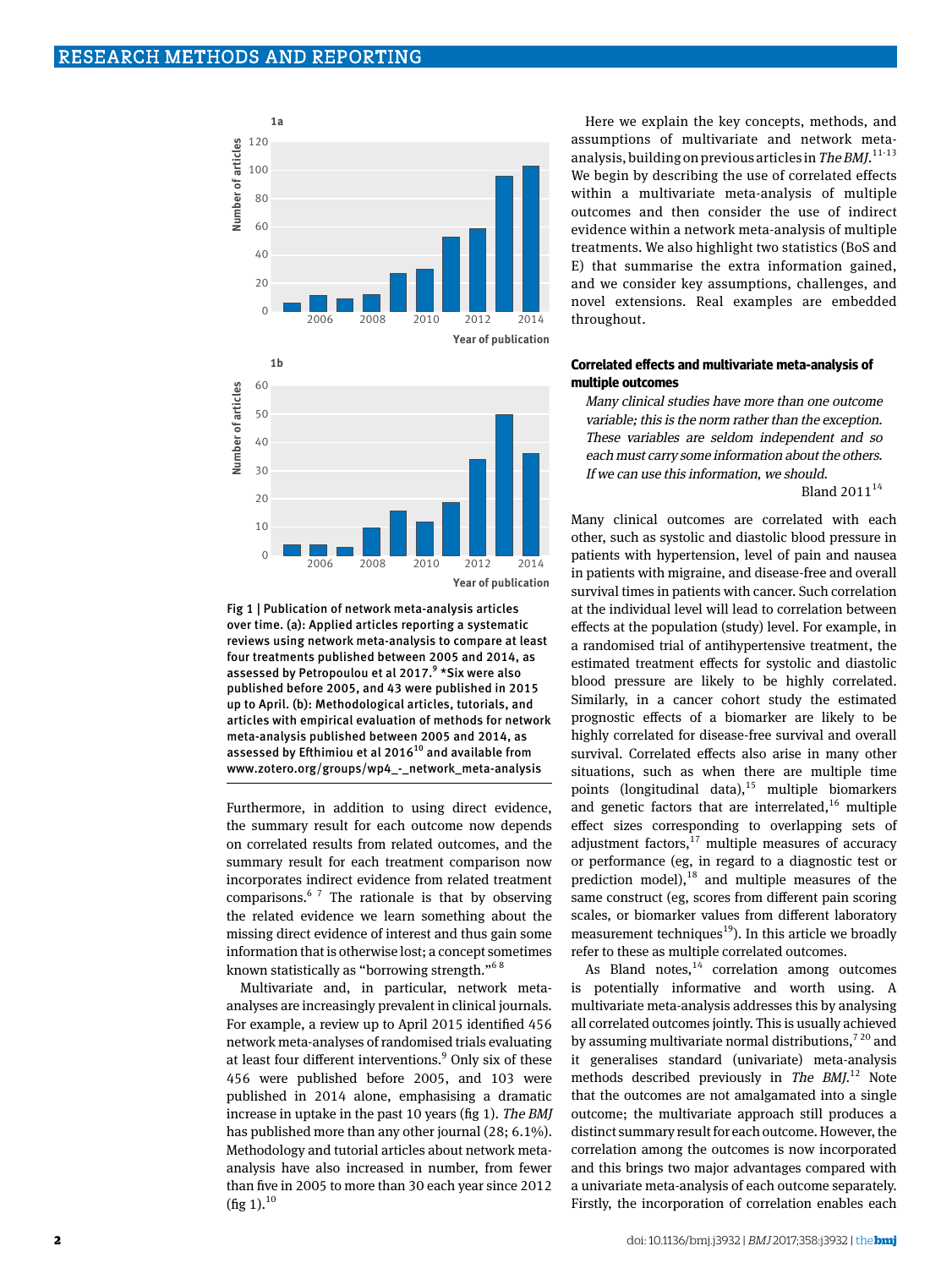



**Year of publication**



Furthermore, in addition to using direct evidence, the summary result for each outcome now depends on correlated results from related outcomes, and the summary result for each treatment comparison now incorporates indirect evidence from related treatment comparisons. $67$  The rationale is that by observing the related evidence we learn something about the missing direct evidence of interest and thus gain some information that is otherwise lost; a concept sometimes known statistically as "borrowing strength."<sup>68</sup>

Multivariate and, in particular, network metaanalyses are increasingly prevalent in clinical journals. For example, a review up to April 2015 identified 456 network meta-analyses of randomised trials evaluating at least four different interventions.<sup>9</sup> Only six of these 456 were published before 2005, and 103 were published in 2014 alone, emphasising a dramatic increase in uptake in the past 10 years (fig 1). The BMJ has published more than any other journal (28; 6.1%). Methodology and tutorial articles about network metaanalysis have also increased in number, from fewer than five in 2005 to more than 30 each year since 2012 (fig 1). $^{10}$ 

Here we explain the key concepts, methods, and assumptions of multivariate and network metaanalysis, building on previous articles in The BMJ.<sup>11-13</sup> We begin by describing the use of correlated effects within a multivariate meta-analysis of multiple outcomes and then consider the use of indirect evidence within a network meta-analysis of multiple treatments. We also highlight two statistics (BoS and E) that summarise the extra information gained, and we consider key assumptions, challenges, and novel extensions. Real examples are embedded throughout.

## **Correlated effects and multivariate meta-analysis of multiple outcomes**

Many clinical studies have more than one outcome variable; this is the norm rather than the exception. These variables are seldom independent and so each must carry some information about the others. If we can use this information, we should.

Bland  $2011^{14}$ 

Many clinical outcomes are correlated with each other, such as systolic and diastolic blood pressure in patients with hypertension, level of pain and nausea in patients with migraine, and disease-free and overall survival times in patients with cancer. Such correlation at the individual level will lead to correlation between effects at the population (study) level. For example, in a randomised trial of antihypertensive treatment, the estimated treatment effects for systolic and diastolic blood pressure are likely to be highly correlated. Similarly, in a cancer cohort study the estimated prognostic effects of a biomarker are likely to be highly correlated for disease-free survival and overall survival. Correlated effects also arise in many other situations, such as when there are multiple time points (longitudinal data), $15$  multiple biomarkers and genetic factors that are interrelated,  $16$  multiple effect sizes corresponding to overlapping sets of adjustment factors, $17$  multiple measures of accuracy or performance (eg, in regard to a diagnostic test or prediction model), $^{18}$  and multiple measures of the same construct (eg, scores from different pain scoring scales, or biomarker values from different laboratory measurement techniques<sup>19</sup>). In this article we broadly refer to these as multiple correlated outcomes.

As Bland notes, $14$  correlation among outcomes is potentially informative and worth using. A multivariate meta-analysis addresses this by analysing all correlated outcomes jointly. This is usually achieved by assuming multivariate normal distributions,<sup>720</sup> and it generalises standard (univariate) meta-analysis methods described previously in The BMJ.<sup>12</sup> Note that the outcomes are not amalgamated into a single outcome; the multivariate approach still produces a distinct summary result for each outcome. However, the correlation among the outcomes is now incorporated and this brings two major advantages compared with a univariate meta-analysis of each outcome separately. Firstly, the incorporation of correlation enables each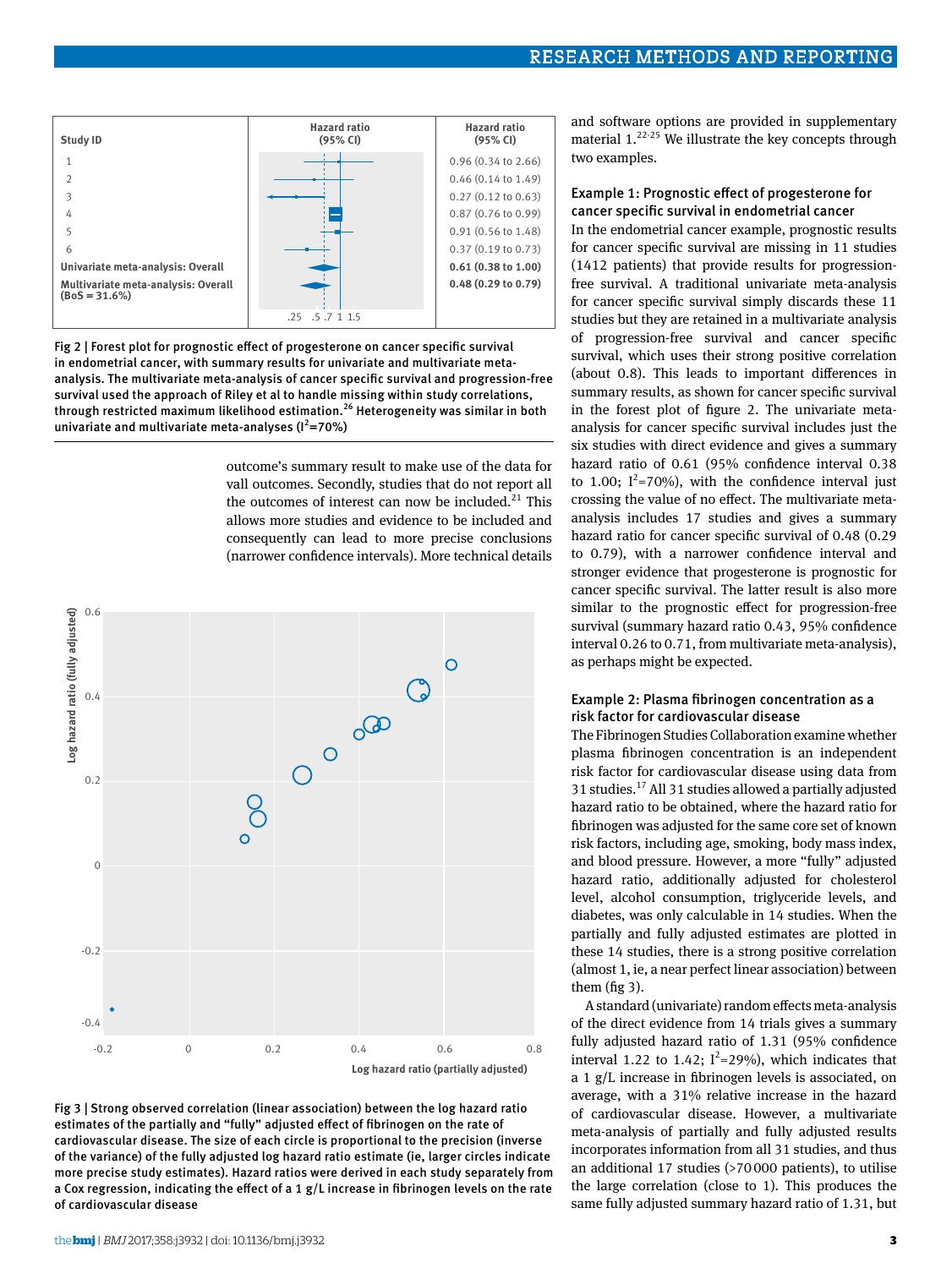

Fig 2 | Forest plot for prognostic effect of progesterone on cancer specific survival in endometrial cancer, with summary results for univariate and multivariate metaanalysis. The multivariate meta-analysis of cancer specific survival and progression-free survival used the approach of Riley et al to handle missing within study correlations, through restricted maximum likelihood estimation.<sup>26</sup> Heterogeneity was similar in both univariate and multivariate meta-analyses ( $1^2$ =70%)

outcome's summary result to make use of the data for vall outcomes. Secondly, studies that do not report all the outcomes of interest can now be included. $^{21}$  This allows more studies and evidence to be included and consequently can lead to more precise conclusions (narrower confidence intervals). More technical details



Fig 3 | Strong observed correlation (linear association) between the log hazard ratio estimates of the partially and "fully" adjusted effect of fibrinogen on the rate of cardiovascular disease. The size of each circle is proportional to the precision (inverse of the variance) of the fully adjusted log hazard ratio estimate (ie, larger circles indicate more precise study estimates). Hazard ratios were derived in each study separately from a Cox regression, indicating the effect of a 1 g/L increase in fibrinogen levels on the rate of cardiovascular disease

and software options are provided in supplementary material  $1.^{22-25}$  We illustrate the key concepts through two examples.

## Example 1: Prognostic effect of progesterone for cancer specific survival in endometrial cancer

In the endometrial cancer example, prognostic results for cancer specific survival are missing in 11 studies (1412 patients) that provide results for progressionfree survival. A traditional univariate meta-analysis for cancer specific survival simply discards these 11 studies but they are retained in a multivariate analysis of progression-free survival and cancer specific survival, which uses their strong positive correlation (about 0.8). This leads to important differences in summary results, as shown for cancer specific survival in the forest plot of figure 2. The univariate metaanalysis for cancer specific survival includes just the six studies with direct evidence and gives a summary hazard ratio of 0.61 (95% confidence interval 0.38 to 1.00;  $I^2 = 70\%$ ), with the confidence interval just crossing the value of no effect. The multivariate metaanalysis includes 17 studies and gives a summary hazard ratio for cancer specific survival of 0.48 (0.29 to 0.79), with a narrower confidence interval and stronger evidence that progesterone is prognostic for cancer specific survival. The latter result is also more similar to the prognostic effect for progression-free survival (summary hazard ratio 0.43, 95% confidence interval 0.26 to 0.71, from multivariate meta-analysis), as perhaps might be expected.

## Example 2: Plasma fibrinogen concentration as a risk factor for cardiovascular disease

The Fibrinogen Studies Collaboration examine whether plasma fibrinogen concentration is an independent risk factor for cardiovascular disease using data from 31 studies.17 All 31 studies allowed a partially adjusted hazard ratio to be obtained, where the hazard ratio for fibrinogen was adjusted for the same core set of known risk factors, including age, smoking, body mass index, and blood pressure. However, a more "fully" adjusted hazard ratio, additionally adjusted for cholesterol level, alcohol consumption, triglyceride levels, and diabetes, was only calculable in 14 studies. When the partially and fully adjusted estimates are plotted in these 14 studies, there is a strong positive correlation (almost 1, ie, a near perfect linear association) between them (fig 3).

A standard (univariate) random effects meta-analysis of the direct evidence from 14 trials gives a summary fully adjusted hazard ratio of 1.31 (95% confidence interval 1.22 to 1.42;  $I^2 = 29\%$ ), which indicates that a 1 g/L increase in fibrinogen levels is associated, on average, with a 31% relative increase in the hazard of cardiovascular disease. However, a multivariate meta-analysis of partially and fully adjusted results incorporates information from all 31 studies, and thus an additional 17 studies (>70000 patients), to utilise the large correlation (close to 1). This produces the same fully adjusted summary hazard ratio of 1.31, but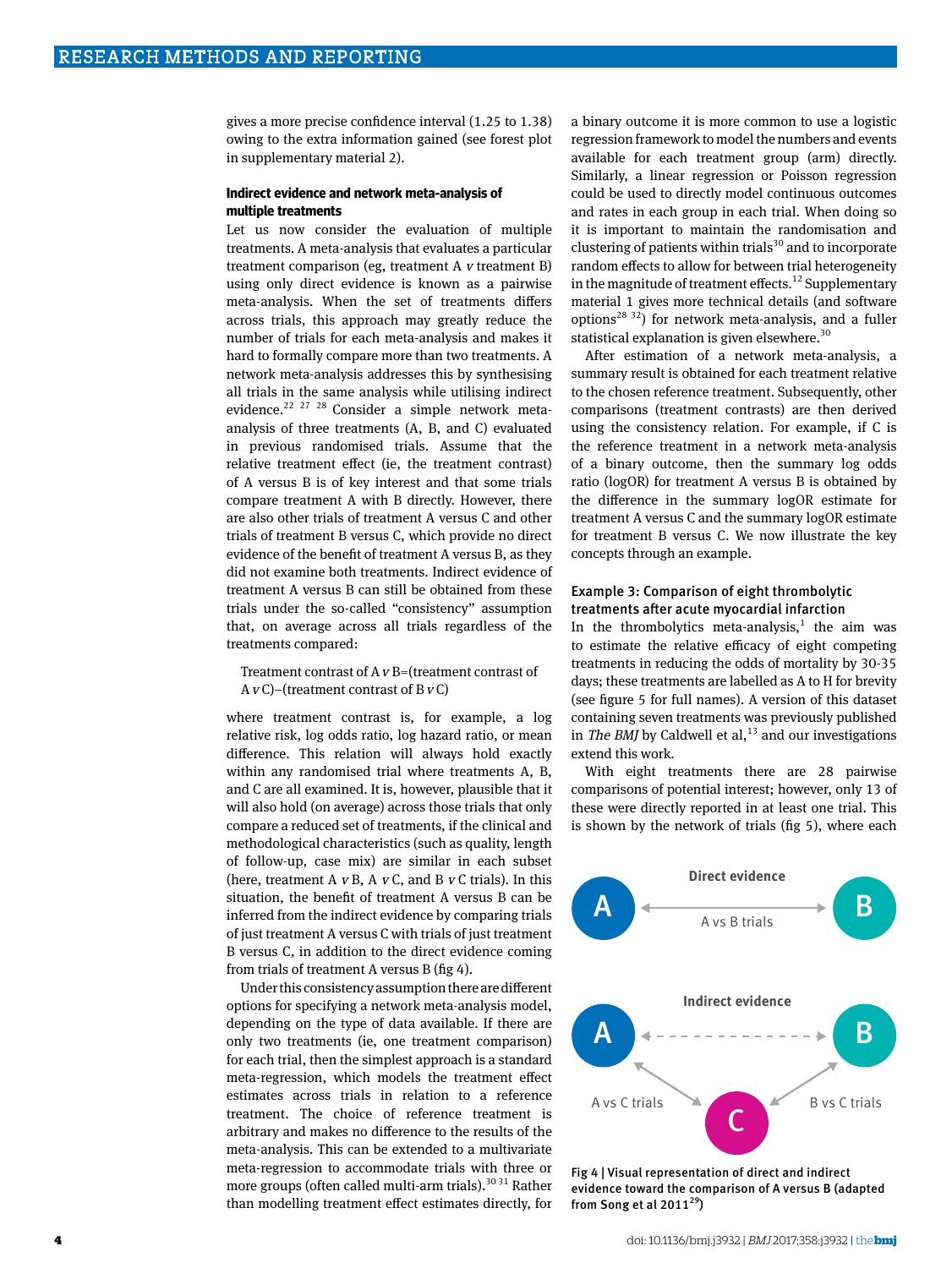gives a more precise confidence interval (1.25 to 1.38) owing to the extra information gained (see forest plot in supplementary material 2).

### **Indirect evidence and network meta-analysis of multiple treatments**

Let us now consider the evaluation of multiple treatments. A meta-analysis that evaluates a particular treatment comparison (eg, treatment A v treatment B) using only direct evidence is known as a pairwise meta-analysis. When the set of treatments differs across trials, this approach may greatly reduce the number of trials for each meta-analysis and makes it hard to formally compare more than two treatments. A network meta-analysis addresses this by synthesising all trials in the same analysis while utilising indirect evidence.22 27 28 Consider a simple network metaanalysis of three treatments (A, B, and C) evaluated in previous randomised trials. Assume that the relative treatment effect (ie, the treatment contrast) of A versus B is of key interest and that some trials compare treatment A with B directly. However, there are also other trials of treatment A versus C and other trials of treatment B versus C, which provide no direct evidence of the benefit of treatment A versus B, as they did not examine both treatments. Indirect evidence of treatment A versus B can still be obtained from these trials under the so-called "consistency" assumption that, on average across all trials regardless of the treatments compared:

## Treatment contrast of Av B=(treatment contrast of Av C)−(treatment contrast of Bv C)

where treatment contrast is, for example, a log relative risk, log odds ratio, log hazard ratio, or mean difference. This relation will always hold exactly within any randomised trial where treatments A, B, and C are all examined. It is, however, plausible that it will also hold (on average) across those trials that only compare a reduced set of treatments, if the clinical and methodological characteristics (such as quality, length of follow-up, case mix) are similar in each subset (here, treatment A  $v$  B, A  $v$  C, and B  $v$  C trials). In this situation, the benefit of treatment A versus B can be inferred from the indirect evidence by comparing trials of just treatment A versus C with trials of just treatment B versus C, in addition to the direct evidence coming from trials of treatment A versus B (fig 4).

Under this consistency assumption there are different options for specifying a network meta-analysis model, depending on the type of data available. If there are only two treatments (ie, one treatment comparison) for each trial, then the simplest approach is a standard meta-regression, which models the treatment effect estimates across trials in relation to a reference treatment. The choice of reference treatment is arbitrary and makes no difference to the results of the meta-analysis. This can be extended to a multivariate meta-regression to accommodate trials with three or more groups (often called multi-arm trials).<sup>30 31</sup> Rather than modelling treatment effect estimates directly, for

a binary outcome it is more common to use a logistic regression framework to model the numbers and events available for each treatment group (arm) directly. Similarly, a linear regression or Poisson regression could be used to directly model continuous outcomes and rates in each group in each trial. When doing so it is important to maintain the randomisation and clustering of patients within trials<sup>30</sup> and to incorporate random effects to allow for between trial heterogeneity in the magnitude of treatment effects.<sup>12</sup> Supplementary material 1 gives more technical details (and software options<sup>28 32</sup>) for network meta-analysis, and a fuller statistical explanation is given elsewhere. $30$ 

After estimation of a network meta-analysis, a summary result is obtained for each treatment relative to the chosen reference treatment. Subsequently, other comparisons (treatment contrasts) are then derived using the consistency relation. For example, if C is the reference treatment in a network meta-analysis of a binary outcome, then the summary log odds ratio (logOR) for treatment A versus B is obtained by the difference in the summary logOR estimate for treatment A versus C and the summary logOR estimate for treatment B versus C. We now illustrate the key concepts through an example.

## Example 3: Comparison of eight thrombolytic treatments after acute myocardial infarction

In the thrombolytics meta-analysis, $<sup>1</sup>$  the aim was</sup> to estimate the relative efficacy of eight competing treatments in reducing the odds of mortality by 30-35 days; these treatments are labelled as A to H for brevity (see figure 5 for full names). A version of this dataset containing seven treatments was previously published in The BMJ by Caldwell et al,  $13$  and our investigations extend this work.

With eight treatments there are 28 pairwise comparisons of potential interest; however, only 13 of these were directly reported in at least one trial. This is shown by the network of trials (fig 5), where each



Fig 4 | Visual representation of direct and indirect evidence toward the comparison of A versus B (adapted from Song et al  $2011^{29}$ )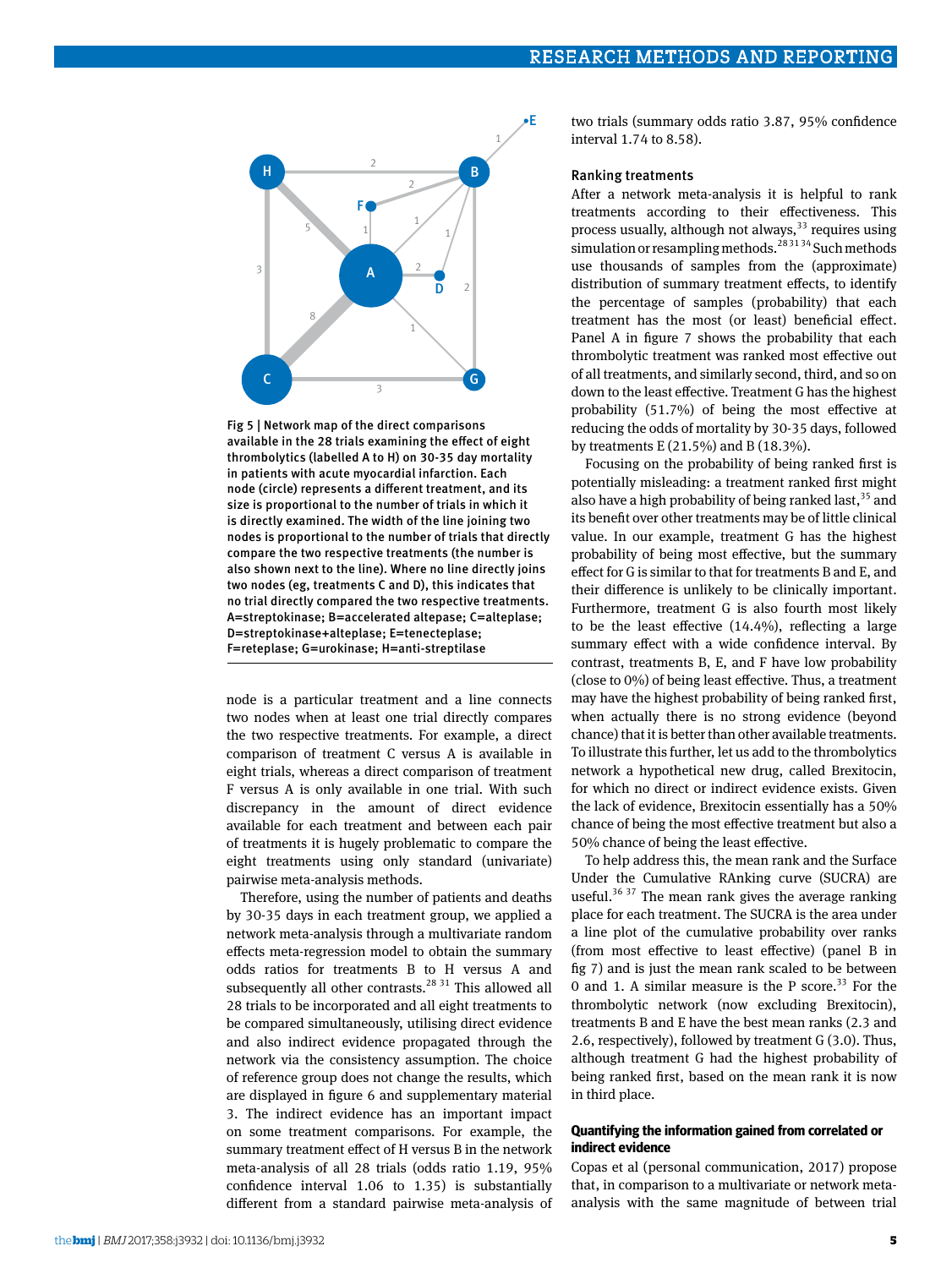

Fig 5 | Network map of the direct comparisons available in the 28 trials examining the effect of eight thrombolytics (labelled A to H) on 30-35 day mortality in patients with acute myocardial infarction. Each node (circle) represents a different treatment, and its size is proportional to the number of trials in which it is directly examined. The width of the line joining two nodes is proportional to the number of trials that directly compare the two respective treatments (the number is also shown next to the line). Where no line directly joins two nodes (eg, treatments C and D), this indicates that no trial directly compared the two respective treatments. A=streptokinase; B=accelerated altepase; C=alteplase; D=streptokinase+alteplase; E=tenecteplase; F=reteplase; G=urokinase; H=anti-streptilase

node is a particular treatment and a line connects two nodes when at least one trial directly compares the two respective treatments. For example, a direct comparison of treatment C versus A is available in eight trials, whereas a direct comparison of treatment F versus A is only available in one trial. With such discrepancy in the amount of direct evidence available for each treatment and between each pair of treatments it is hugely problematic to compare the eight treatments using only standard (univariate) pairwise meta-analysis methods.

Therefore, using the number of patients and deaths by 30-35 days in each treatment group, we applied a network meta-analysis through a multivariate random effects meta-regression model to obtain the summary odds ratios for treatments B to H versus A and subsequently all other contrasts. $28$ <sup>31</sup> This allowed all 28 trials to be incorporated and all eight treatments to be compared simultaneously, utilising direct evidence and also indirect evidence propagated through the network via the consistency assumption. The choice of reference group does not change the results, which are displayed in figure 6 and supplementary material 3. The indirect evidence has an important impact on some treatment comparisons. For example, the summary treatment effect of H versus B in the network meta-analysis of all 28 trials (odds ratio 1.19, 95% confidence interval 1.06 to 1.35) is substantially different from a standard pairwise meta-analysis of two trials (summary odds ratio 3.87, 95% confidence interval 1.74 to 8.58).

#### Ranking treatments

After a network meta-analysis it is helpful to rank treatments according to their effectiveness. This process usually, although not always,  $33$  requires using simulation or resampling methods.<sup>283134</sup> Such methods use thousands of samples from the (approximate) distribution of summary treatment effects, to identify the percentage of samples (probability) that each treatment has the most (or least) beneficial effect. Panel A in figure 7 shows the probability that each thrombolytic treatment was ranked most effective out of all treatments, and similarly second, third, and so on down to the least effective. Treatment G has the highest probability (51.7%) of being the most effective at reducing the odds of mortality by 30-35 days, followed by treatments E (21.5%) and B (18.3%).

Focusing on the probability of being ranked first is potentially misleading: a treatment ranked first might also have a high probability of being ranked last, 35 and its benefit over other treatments may be of little clinical value. In our example, treatment G has the highest probability of being most effective, but the summary effect for G is similar to that for treatments B and E, and their difference is unlikely to be clinically important. Furthermore, treatment G is also fourth most likely to be the least effective (14.4%), reflecting a large summary effect with a wide confidence interval. By contrast, treatments B, E, and F have low probability (close to 0%) of being least effective. Thus, a treatment may have the highest probability of being ranked first, when actually there is no strong evidence (beyond chance) that it is better than other available treatments. To illustrate this further, let us add to the thrombolytics network a hypothetical new drug, called Brexitocin, for which no direct or indirect evidence exists. Given the lack of evidence, Brexitocin essentially has a 50% chance of being the most effective treatment but also a 50% chance of being the least effective.

To help address this, the mean rank and the Surface Under the Cumulative RAnking curve (SUCRA) are useful.<sup>36 37</sup> The mean rank gives the average ranking place for each treatment. The SUCRA is the area under a line plot of the cumulative probability over ranks (from most effective to least effective) (panel B in fig 7) and is just the mean rank scaled to be between 0 and 1. A similar measure is the P score. $33$  For the thrombolytic network (now excluding Brexitocin), treatments B and E have the best mean ranks (2.3 and 2.6, respectively), followed by treatment G (3.0). Thus, although treatment G had the highest probability of being ranked first, based on the mean rank it is now in third place.

## **Quantifying the information gained from correlated or indirect evidence**

Copas et al (personal communication, 2017) propose that, in comparison to a multivariate or network metaanalysis with the same magnitude of between trial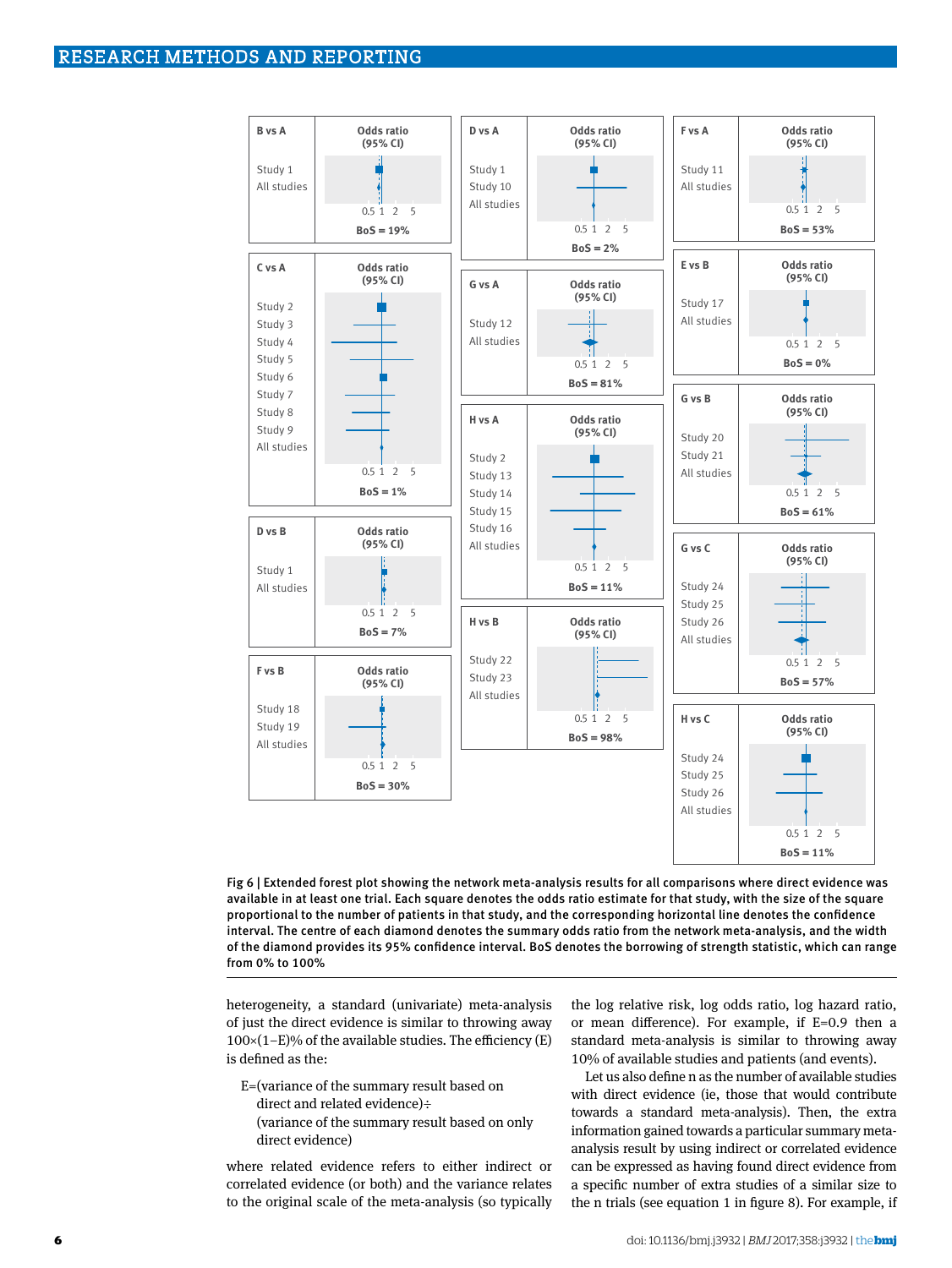## Research Methods and Reporting



Fig 6 | Extended forest plot showing the network meta-analysis results for all comparisons where direct evidence was available in at least one trial. Each square denotes the odds ratio estimate for that study, with the size of the square proportional to the number of patients in that study, and the corresponding horizontal line denotes the confidence interval. The centre of each diamond denotes the summary odds ratio from the network meta-analysis, and the width of the diamond provides its 95% confidence interval. BoS denotes the borrowing of strength statistic, which can range from 0% to 100%

heterogeneity, a standard (univariate) meta-analysis of just the direct evidence is similar to throwing away 100×(1−E)% of the available studies. The efficiency (E) is defined as the:

E=(variance of the summary result based on direct and related evidence)÷ (variance of the summary result based on only direct evidence)

where related evidence refers to either indirect or correlated evidence (or both) and the variance relates to the original scale of the meta-analysis (so typically the log relative risk, log odds ratio, log hazard ratio, or mean difference). For example, if E=0.9 then a standard meta-analysis is similar to throwing away 10% of available studies and patients (and events).

Let us also define n as the number of available studies with direct evidence (ie, those that would contribute towards a standard meta-analysis). Then, the extra information gained towards a particular summary metaanalysis result by using indirect or correlated evidence can be expressed as having found direct evidence from a specific number of extra studies of a similar size to the n trials (see equation 1 in figure 8). For example, if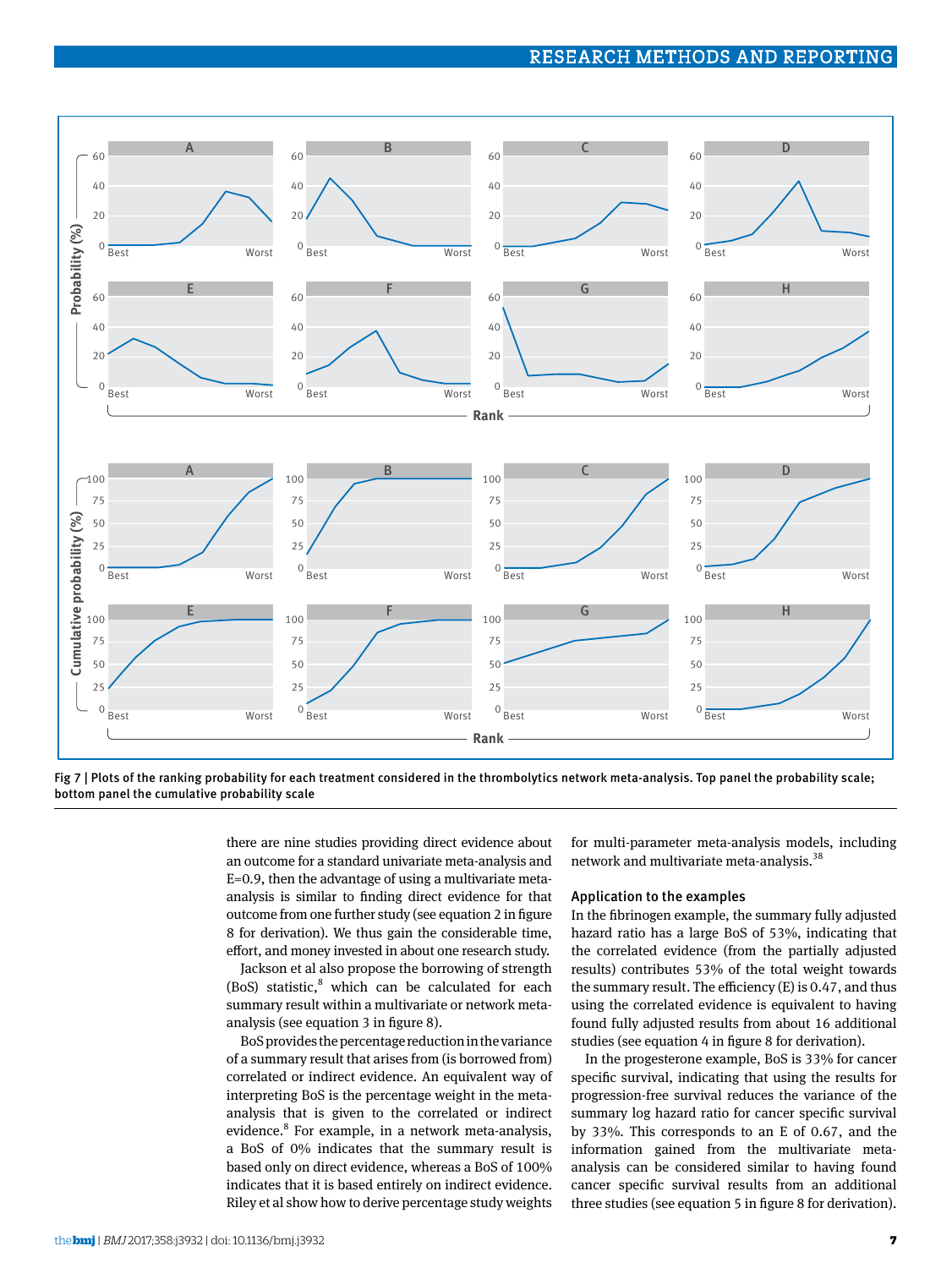## Research Methods and Reporting



Fig 7 | Plots of the ranking probability for each treatment considered in the thrombolytics network meta-analysis. Top panel the probability scale; bottom panel the cumulative probability scale

there are nine studies providing direct evidence about an outcome for a standard univariate meta-analysis and E=0.9, then the advantage of using a multivariate metaanalysis is similar to finding direct evidence for that outcome from one further study (see equation 2 in figure 8 for derivation). We thus gain the considerable time, effort, and money invested in about one research study.

Jackson et al also propose the borrowing of strength (BoS) statistic,<sup>8</sup> which can be calculated for each summary result within a multivariate or network metaanalysis (see equation 3 in figure 8).

BoS provides the percentage reduction in the variance of a summary result that arises from (is borrowed from) correlated or indirect evidence. An equivalent way of interpreting BoS is the percentage weight in the metaanalysis that is given to the correlated or indirect evidence.<sup>8</sup> For example, in a network meta-analysis, a BoS of 0% indicates that the summary result is based only on direct evidence, whereas a BoS of 100% indicates that it is based entirely on indirect evidence. Riley et al show how to derive percentage study weights

for multi-parameter meta-analysis models, including network and multivariate meta-analysis.<sup>38</sup>

## Application to the examples

In the fibrinogen example, the summary fully adjusted hazard ratio has a large BoS of 53%, indicating that the correlated evidence (from the partially adjusted results) contributes 53% of the total weight towards the summary result. The efficiency (E) is 0.47, and thus using the correlated evidence is equivalent to having found fully adjusted results from about 16 additional studies (see equation 4 in figure 8 for derivation).

In the progesterone example, BoS is 33% for cancer specific survival, indicating that using the results for progression-free survival reduces the variance of the summary log hazard ratio for cancer specific survival by 33%. This corresponds to an E of 0.67, and the information gained from the multivariate metaanalysis can be considered similar to having found cancer specific survival results from an additional three studies (see equation 5 in figure 8 for derivation).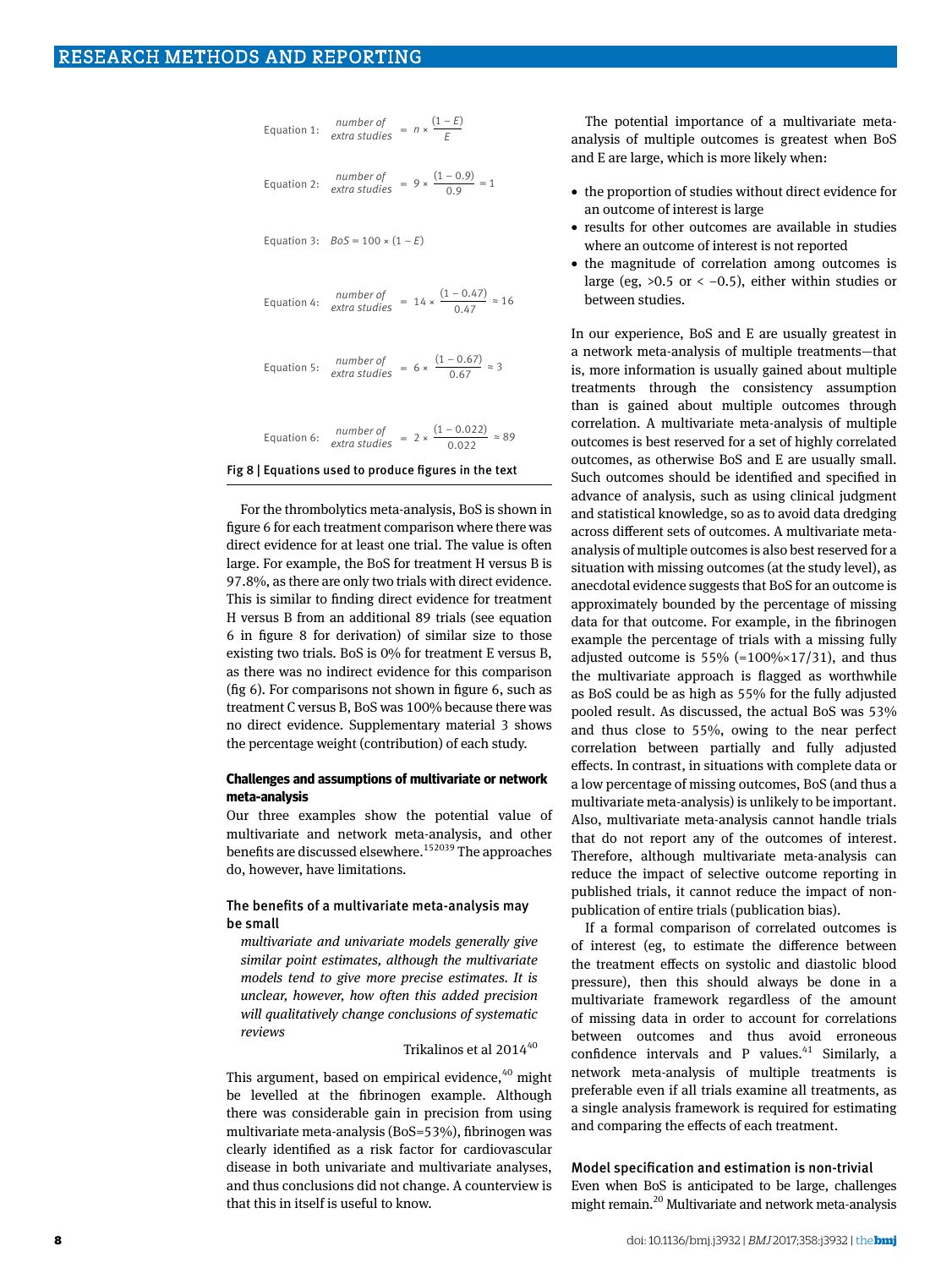| Equation 1: $\frac{number\ of}{extra\ studies} = n \times \frac{(1-E)}{F}$     |
|--------------------------------------------------------------------------------|
| Equation 2: <i>number of</i> = $9 \times \frac{(1-0.9)}{0.9} = 1$              |
| Equation 3: $BoS = 100 \times (1 - E)$                                         |
| Equation 4: <i>number of</i> = $14 \times \frac{(1-0.47)}{0.47} \approx 16$    |
| Equation 5: <i>number of</i> $= 6 \times \frac{(1 - 0.67)}{0.67} \approx 3$    |
| Equation 6: <i>number of</i> $= 2 \times \frac{(1 - 0.022)}{0.022} \approx 89$ |

Fig 8 | Equations used to produce figures in the text

For the thrombolytics meta-analysis, BoS is shown in figure 6 for each treatment comparison where there was direct evidence for at least one trial. The value is often large. For example, the BoS for treatment H versus B is 97.8%, as there are only two trials with direct evidence. This is similar to finding direct evidence for treatment H versus B from an additional 89 trials (see equation 6 in figure 8 for derivation) of similar size to those existing two trials. BoS is 0% for treatment E versus B, as there was no indirect evidence for this comparison (fig 6). For comparisons not shown in figure 6, such as treatment C versus B, BoS was 100% because there was no direct evidence. Supplementary material 3 shows the percentage weight (contribution) of each study.

## **Challenges and assumptions of multivariate or network meta-analysis**

Our three examples show the potential value of multivariate and network meta-analysis, and other benefits are discussed elsewhere.152039 The approaches do, however, have limitations.

## The benefits of a multivariate meta-analysis may be small

*multivariate and univariate models generally give similar point estimates, although the multivariate models tend to give more precise estimates. It is unclear, however, how often this added precision will qualitatively change conclusions of systematic reviews*

Trikalinos et al 2014<sup>40</sup>

This argument, based on empirical evidence,<sup>40</sup> might be levelled at the fibrinogen example. Although there was considerable gain in precision from using multivariate meta-analysis (BoS=53%), fibrinogen was clearly identified as a risk factor for cardiovascular disease in both univariate and multivariate analyses, and thus conclusions did not change. A counterview is that this in itself is useful to know.

The potential importance of a multivariate metaanalysis of multiple outcomes is greatest when BoS and E are large, which is more likely when:

- the proportion of studies without direct evidence for an outcome of interest is large
- results for other outcomes are available in studies where an outcome of interest is not reported
- the magnitude of correlation among outcomes is large (eg, >0.5 or < -0.5), either within studies or between studies.

In our experience, BoS and E are usually greatest in a network meta-analysis of multiple treatments—that is, more information is usually gained about multiple treatments through the consistency assumption than is gained about multiple outcomes through correlation. A multivariate meta-analysis of multiple outcomes is best reserved for a set of highly correlated outcomes, as otherwise BoS and E are usually small. Such outcomes should be identified and specified in advance of analysis, such as using clinical judgment and statistical knowledge, so as to avoid data dredging across different sets of outcomes. A multivariate metaanalysis of multiple outcomes is also best reserved for a situation with missing outcomes (at the study level), as anecdotal evidence suggests that BoS for an outcome is approximately bounded by the percentage of missing data for that outcome. For example, in the fibrinogen example the percentage of trials with a missing fully adjusted outcome is 55%  $(=100\frac{\omega x}{17})$ , and thus the multivariate approach is flagged as worthwhile as BoS could be as high as 55% for the fully adjusted pooled result. As discussed, the actual BoS was 53% and thus close to 55%, owing to the near perfect correlation between partially and fully adjusted effects. In contrast, in situations with complete data or a low percentage of missing outcomes, BoS (and thus a multivariate meta-analysis) is unlikely to be important. Also, multivariate meta-analysis cannot handle trials that do not report any of the outcomes of interest. Therefore, although multivariate meta-analysis can reduce the impact of selective outcome reporting in published trials, it cannot reduce the impact of nonpublication of entire trials (publication bias).

If a formal comparison of correlated outcomes is of interest (eg, to estimate the difference between the treatment effects on systolic and diastolic blood pressure), then this should always be done in a multivariate framework regardless of the amount of missing data in order to account for correlations between outcomes and thus avoid erroneous confidence intervals and P values.<sup>41</sup> Similarly, a network meta-analysis of multiple treatments is preferable even if all trials examine all treatments, as a single analysis framework is required for estimating and comparing the effects of each treatment.

## Model specification and estimation is non-trivial

Even when BoS is anticipated to be large, challenges might remain.<sup>20</sup> Multivariate and network meta-analysis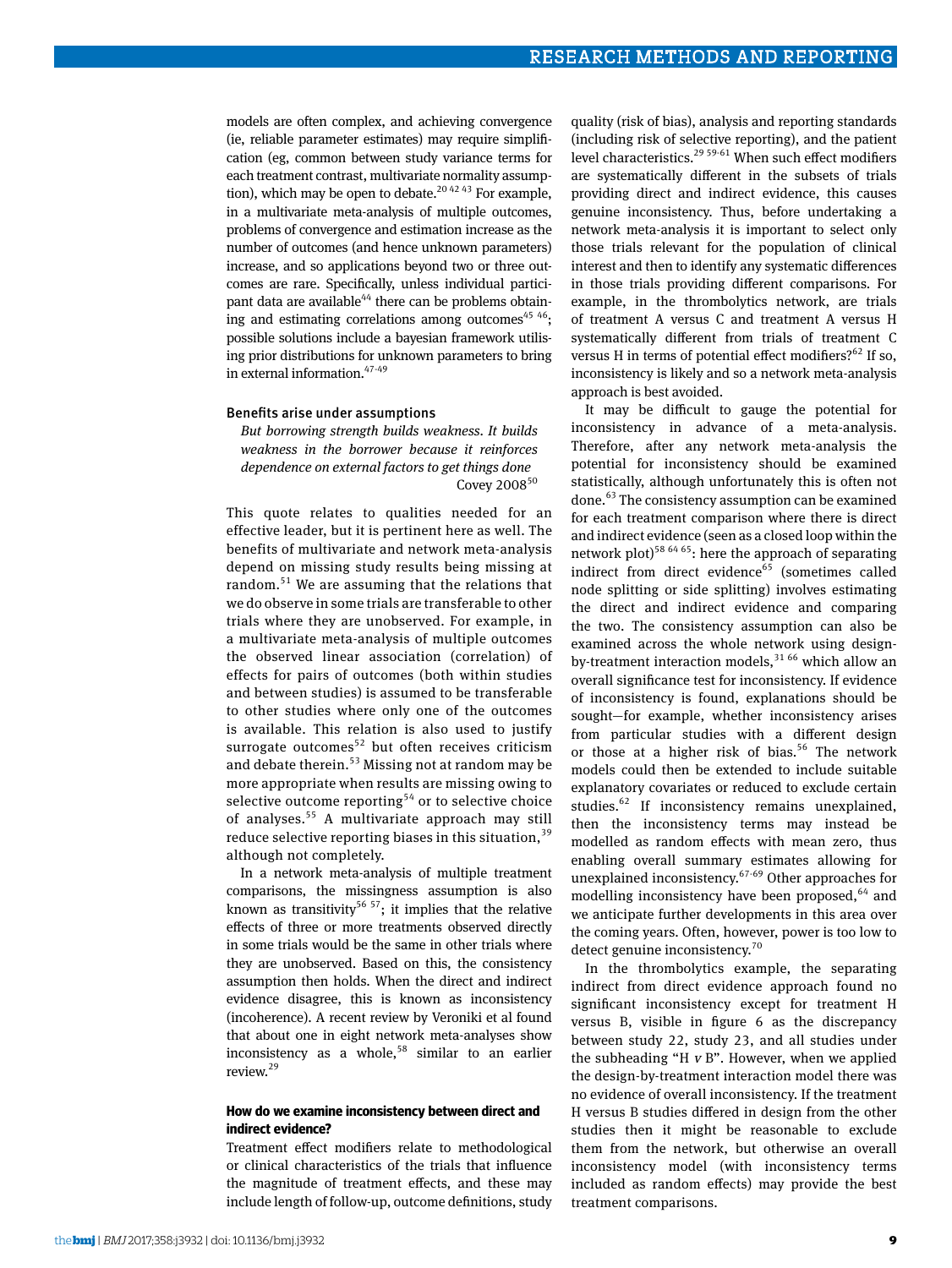models are often complex, and achieving convergence (ie, reliable parameter estimates) may require simplification (eg, common between study variance terms for each treatment contrast, multivariate normality assumption), which may be open to debate.<sup>20 42 43</sup> For example, in a multivariate meta-analysis of multiple outcomes, problems of convergence and estimation increase as the number of outcomes (and hence unknown parameters) increase, and so applications beyond two or three outcomes are rare. Specifically, unless individual participant data are available $44$  there can be problems obtaining and estimating correlations among outcomes<sup>45 46</sup>; possible solutions include a bayesian framework utilising prior distributions for unknown parameters to bring in external information.47-49

#### Benefits arise under assumptions

*But borrowing strength builds weakness. It builds weakness in the borrower because it reinforces dependence on external factors to get things done* Covey 2008<sup>50</sup>

This quote relates to qualities needed for an effective leader, but it is pertinent here as well. The benefits of multivariate and network meta-analysis depend on missing study results being missing at random. $51$  We are assuming that the relations that we do observe in some trials are transferable to other trials where they are unobserved. For example, in a multivariate meta-analysis of multiple outcomes the observed linear association (correlation) of effects for pairs of outcomes (both within studies and between studies) is assumed to be transferable to other studies where only one of the outcomes is available. This relation is also used to justify surrogate outcomes $52$  but often receives criticism and debate therein.<sup>53</sup> Missing not at random may be more appropriate when results are missing owing to selective outcome reporting<sup>54</sup> or to selective choice of analyses.<sup>55</sup> A multivariate approach may still reduce selective reporting biases in this situation, <sup>39</sup> although not completely.

In a network meta-analysis of multiple treatment comparisons, the missingness assumption is also known as transitivity<sup>56 57</sup>; it implies that the relative effects of three or more treatments observed directly in some trials would be the same in other trials where they are unobserved. Based on this, the consistency assumption then holds. When the direct and indirect evidence disagree, this is known as inconsistency (incoherence). A recent review by Veroniki et al found that about one in eight network meta-analyses show inconsistency as a whole, $58$  similar to an earlier review.29

### **How do we examine inconsistency between direct and indirect evidence?**

Treatment effect modifiers relate to methodological or clinical characteristics of the trials that influence the magnitude of treatment effects, and these may include length of follow-up, outcome definitions, study quality (risk of bias), analysis and reporting standards (including risk of selective reporting), and the patient level characteristics.<sup>29 59-61</sup> When such effect modifiers are systematically different in the subsets of trials providing direct and indirect evidence, this causes genuine inconsistency. Thus, before undertaking a network meta-analysis it is important to select only those trials relevant for the population of clinical interest and then to identify any systematic differences in those trials providing different comparisons. For example, in the thrombolytics network, are trials of treatment A versus C and treatment A versus H systematically different from trials of treatment C versus H in terms of potential effect modifiers? $62$  If so, inconsistency is likely and so a network meta-analysis approach is best avoided.

It may be difficult to gauge the potential for inconsistency in advance of a meta-analysis. Therefore, after any network meta-analysis the potential for inconsistency should be examined statistically, although unfortunately this is often not done.63 The consistency assumption can be examined for each treatment comparison where there is direct and indirect evidence (seen as a closed loop within the network plot)<sup>58 64 65</sup>: here the approach of separating indirect from direct evidence $65$  (sometimes called node splitting or side splitting) involves estimating the direct and indirect evidence and comparing the two. The consistency assumption can also be examined across the whole network using designby-treatment interaction models,  $31\,66$  which allow an overall significance test for inconsistency. If evidence of inconsistency is found, explanations should be sought—for example, whether inconsistency arises from particular studies with a different design or those at a higher risk of bias.<sup>56</sup> The network models could then be extended to include suitable explanatory covariates or reduced to exclude certain studies.<sup>62</sup> If inconsistency remains unexplained, then the inconsistency terms may instead be modelled as random effects with mean zero, thus enabling overall summary estimates allowing for unexplained inconsistency.67-69 Other approaches for modelling inconsistency have been proposed,  $64$  and we anticipate further developments in this area over the coming years. Often, however, power is too low to detect genuine inconsistency.<sup>70</sup>

In the thrombolytics example, the separating indirect from direct evidence approach found no significant inconsistency except for treatment H versus B, visible in figure 6 as the discrepancy between study 22, study 23, and all studies under the subheading "H  $v$  B". However, when we applied the design-by-treatment interaction model there was no evidence of overall inconsistency. If the treatment H versus B studies differed in design from the other studies then it might be reasonable to exclude them from the network, but otherwise an overall inconsistency model (with inconsistency terms included as random effects) may provide the best treatment comparisons.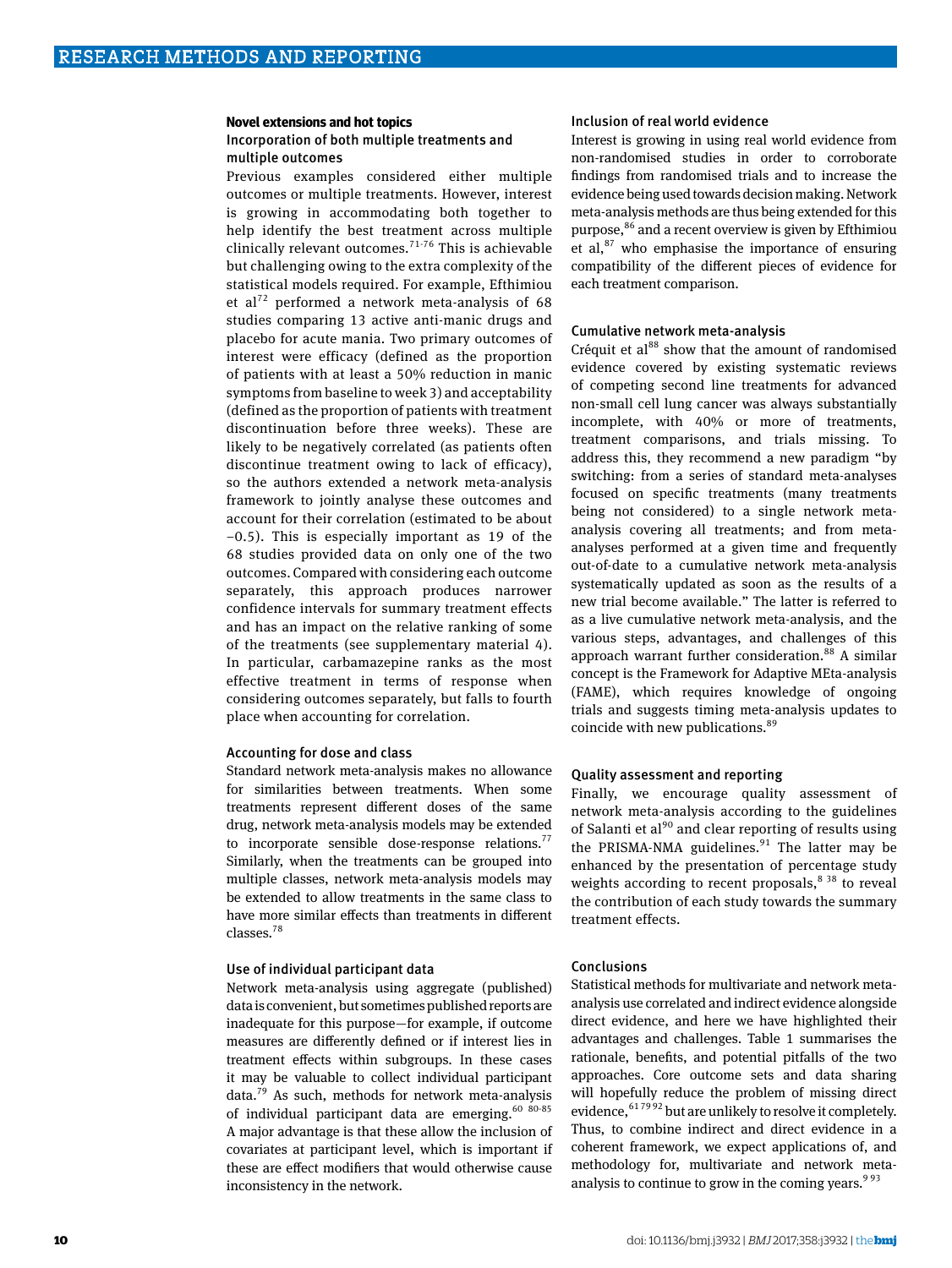#### **Novel extensions and hot topics**

### Incorporation of both multiple treatments and multiple outcomes

Previous examples considered either multiple outcomes or multiple treatments. However, interest is growing in accommodating both together to help identify the best treatment across multiple clinically relevant outcomes.<sup>71-76</sup> This is achievable but challenging owing to the extra complexity of the statistical models required. For example, Efthimiou et al<sup>72</sup> performed a network meta-analysis of 68 studies comparing 13 active anti-manic drugs and placebo for acute mania. Two primary outcomes of interest were efficacy (defined as the proportion of patients with at least a 50% reduction in manic symptoms from baseline to week 3) and acceptability (defined as the proportion of patients with treatment discontinuation before three weeks). These are likely to be negatively correlated (as patients often discontinue treatment owing to lack of efficacy), so the authors extended a network meta-analysis framework to jointly analyse these outcomes and account for their correlation (estimated to be about −0.5). This is especially important as 19 of the 68 studies provided data on only one of the two outcomes. Compared with considering each outcome separately, this approach produces narrower confidence intervals for summary treatment effects and has an impact on the relative ranking of some of the treatments (see supplementary material 4). In particular, carbamazepine ranks as the most effective treatment in terms of response when considering outcomes separately, but falls to fourth place when accounting for correlation.

## Accounting for dose and class

Standard network meta-analysis makes no allowance for similarities between treatments. When some treatments represent different doses of the same drug, network meta-analysis models may be extended to incorporate sensible dose-response relations.<sup>77</sup> Similarly, when the treatments can be grouped into multiple classes, network meta-analysis models may be extended to allow treatments in the same class to have more similar effects than treatments in different classes.78

#### Use of individual participant data

Network meta-analysis using aggregate (published) data is convenient, but sometimes published reports are inadequate for this purpose—for example, if outcome measures are differently defined or if interest lies in treatment effects within subgroups. In these cases it may be valuable to collect individual participant data.79 As such, methods for network meta-analysis of individual participant data are emerging.<sup>60 80-85</sup> A major advantage is that these allow the inclusion of covariates at participant level, which is important if these are effect modifiers that would otherwise cause inconsistency in the network.

#### Inclusion of real world evidence

Interest is growing in using real world evidence from non-randomised studies in order to corroborate findings from randomised trials and to increase the evidence being used towards decision making. Network meta-analysis methods are thus being extended for this purpose,86 and a recent overview is given by Efthimiou et al, $87$  who emphasise the importance of ensuring compatibility of the different pieces of evidence for each treatment comparison.

## Cumulative network meta-analysis

Créquit et  $al^{88}$  show that the amount of randomised evidence covered by existing systematic reviews of competing second line treatments for advanced non-small cell lung cancer was always substantially incomplete, with 40% or more of treatments, treatment comparisons, and trials missing. To address this, they recommend a new paradigm "by switching: from a series of standard meta-analyses focused on specific treatments (many treatments being not considered) to a single network metaanalysis covering all treatments; and from metaanalyses performed at a given time and frequently out-of-date to a cumulative network meta-analysis systematically updated as soon as the results of a new trial become available." The latter is referred to as a live cumulative network meta-analysis, and the various steps, advantages, and challenges of this approach warrant further consideration.<sup>88</sup> A similar concept is the Framework for Adaptive MEta-analysis (FAME), which requires knowledge of ongoing trials and suggests timing meta-analysis updates to coincide with new publications.<sup>89</sup>

### Quality assessment and reporting

Finally, we encourage quality assessment of network meta-analysis according to the guidelines of Salanti et  $al^{90}$  and clear reporting of results using the PRISMA-NMA guidelines. $91$  The latter may be enhanced by the presentation of percentage study weights according to recent proposals,  $8^{38}$  to reveal the contribution of each study towards the summary treatment effects.

#### Conclusions

Statistical methods for multivariate and network metaanalysis use correlated and indirect evidence alongside direct evidence, and here we have highlighted their advantages and challenges. Table 1 summarises the rationale, benefits, and potential pitfalls of the two approaches. Core outcome sets and data sharing will hopefully reduce the problem of missing direct evidence, <sup>6179 92</sup> but are unlikely to resolve it completely. Thus, to combine indirect and direct evidence in a coherent framework, we expect applications of, and methodology for, multivariate and network metaanalysis to continue to grow in the coming years.  $993$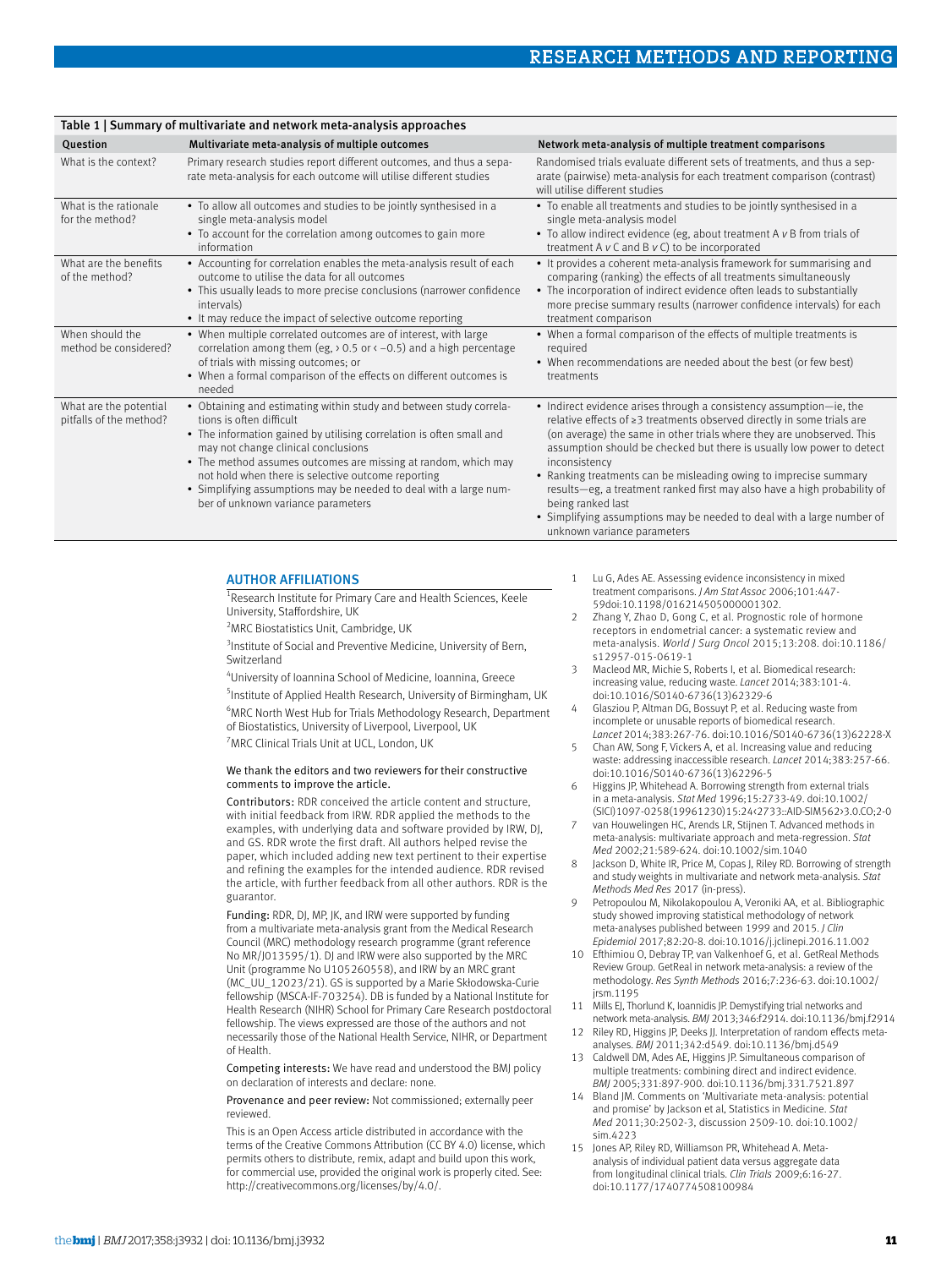| Table 1   Summary of multivariate and network meta-analysis approaches |                                                                                                                                                                                                                                                                                                                                                                                                                                                  |                                                                                                                                                                                                                                                                                                                                                                                                                                                                                                                                                                                                 |  |
|------------------------------------------------------------------------|--------------------------------------------------------------------------------------------------------------------------------------------------------------------------------------------------------------------------------------------------------------------------------------------------------------------------------------------------------------------------------------------------------------------------------------------------|-------------------------------------------------------------------------------------------------------------------------------------------------------------------------------------------------------------------------------------------------------------------------------------------------------------------------------------------------------------------------------------------------------------------------------------------------------------------------------------------------------------------------------------------------------------------------------------------------|--|
| Question                                                               | Multivariate meta-analysis of multiple outcomes                                                                                                                                                                                                                                                                                                                                                                                                  | Network meta-analysis of multiple treatment comparisons                                                                                                                                                                                                                                                                                                                                                                                                                                                                                                                                         |  |
| What is the context?                                                   | Primary research studies report different outcomes, and thus a sepa-<br>rate meta-analysis for each outcome will utilise different studies                                                                                                                                                                                                                                                                                                       | Randomised trials evaluate different sets of treatments, and thus a sep-<br>arate (pairwise) meta-analysis for each treatment comparison (contrast)<br>will utilise different studies                                                                                                                                                                                                                                                                                                                                                                                                           |  |
| What is the rationale<br>for the method?                               | • To allow all outcomes and studies to be jointly synthesised in a<br>single meta-analysis model<br>• To account for the correlation among outcomes to gain more<br>information                                                                                                                                                                                                                                                                  | • To enable all treatments and studies to be jointly synthesised in a<br>single meta-analysis model<br>• To allow indirect evidence (eg, about treatment $A \vee B$ from trials of<br>treatment A $v$ C and B $v$ C) to be incorporated                                                                                                                                                                                                                                                                                                                                                         |  |
| What are the benefits<br>of the method?                                | • Accounting for correlation enables the meta-analysis result of each<br>outcome to utilise the data for all outcomes<br>• This usually leads to more precise conclusions (narrower confidence<br>intervals)<br>• It may reduce the impact of selective outcome reporting                                                                                                                                                                        | • It provides a coherent meta-analysis framework for summarising and<br>comparing (ranking) the effects of all treatments simultaneously<br>• The incorporation of indirect evidence often leads to substantially<br>more precise summary results (narrower confidence intervals) for each<br>treatment comparison                                                                                                                                                                                                                                                                              |  |
| When should the<br>method be considered?                               | • When multiple correlated outcomes are of interest, with large<br>correlation among them (eg, $> 0.5$ or $<-0.5$ ) and a high percentage<br>of trials with missing outcomes; or<br>• When a formal comparison of the effects on different outcomes is<br>needed                                                                                                                                                                                 | • When a formal comparison of the effects of multiple treatments is<br>required<br>• When recommendations are needed about the best (or few best)<br>treatments                                                                                                                                                                                                                                                                                                                                                                                                                                 |  |
| What are the potential<br>pitfalls of the method?                      | • Obtaining and estimating within study and between study correla-<br>tions is often difficult<br>• The information gained by utilising correlation is often small and<br>may not change clinical conclusions<br>• The method assumes outcomes are missing at random, which may<br>not hold when there is selective outcome reporting<br>• Simplifying assumptions may be needed to deal with a large num-<br>ber of unknown variance parameters | • Indirect evidence arises through a consistency assumption-ie, the<br>relative effects of ≥3 treatments observed directly in some trials are<br>(on average) the same in other trials where they are unobserved. This<br>assumption should be checked but there is usually low power to detect<br>inconsistency<br>• Ranking treatments can be misleading owing to imprecise summary<br>results-eg, a treatment ranked first may also have a high probability of<br>being ranked last<br>• Simplifying assumptions may be needed to deal with a large number of<br>unknown variance parameters |  |

#### AUTHOR AFFILIATIONS

<sup>1</sup> Research Institute for Primary Care and Health Sciences, Keele University, Staffordshire, UK

<sup>2</sup>MRC Biostatistics Unit, Cambridge, UK

<sup>3</sup>Institute of Social and Preventive Medicine, University of Bern, Switzerland

4 University of Ioannina School of Medicine, Ioannina, Greece

<sup>5</sup>Institute of Applied Health Research, University of Birmingham, UK

6 MRC North West Hub for Trials Methodology Research, Department of Biostatistics, University of Liverpool, Liverpool, UK

<sup>7</sup> MRC Clinical Trials Unit at UCL, London, UK

#### We thank the editors and two reviewers for their constructive comments to improve the article.

Contributors: RDR conceived the article content and structure, with initial feedback from IRW. RDR applied the methods to the examples, with underlying data and software provided by IRW, DJ, and GS. RDR wrote the first draft. All authors helped revise the paper, which included adding new text pertinent to their expertise and refining the examples for the intended audience. RDR revised the article, with further feedback from all other authors. RDR is the guarantor.

Funding: RDR, DJ, MP, JK, and IRW were supported by funding from a multivariate meta-analysis grant from the Medical Research Council (MRC) methodology research programme (grant reference No MR/J013595/1). DJ and IRW were also supported by the MRC Unit (programme No U105260558), and IRW by an MRC grant (MC\_UU\_12023/21). GS is supported by a Marie Skłodowska-Curie fellowship (MSCA-IF-703254). DB is funded by a National Institute for Health Research (NIHR) School for Primary Care Research postdoctoral fellowship. The views expressed are those of the authors and not necessarily those of the National Health Service, NIHR, or Department of Health.

Competing interests: We have read and understood the BMJ policy on declaration of interests and declare: none.

Provenance and peer review: Not commissioned; externally peer reviewed.

This is an Open Access article distributed in accordance with the terms of the Creative Commons Attribution (CC BY 4.0) license, which permits others to distribute, remix, adapt and build upon this work, for commercial use, provided the original work is properly cited. See: http://creativecommons.org/licenses/by/4.0/.

- 1 Lu G, Ades AE. Assessing evidence inconsistency in mixed treatment comparisons. *J Am Stat Assoc* 2006;101:447- 59doi:10.1198/016214505000001302.
- 2 Zhang Y, Zhao D, Gong C, et al. Prognostic role of hormone receptors in endometrial cancer: a systematic review and meta-analysis. *World J Surg Oncol* 2015;13:208. doi:10.1186/ s12957-015-0619-1
- 3 Macleod MR, Michie S, Roberts I, et al. Biomedical research: increasing value, reducing waste. *Lancet* 2014;383:101-4. doi:10.1016/S0140-6736(13)62329-6
- 4 Glasziou P, Altman DG, Bossuyt P, et al. Reducing waste from incomplete or unusable reports of biomedical research. *Lancet* 2014;383:267-76. doi:10.1016/S0140-6736(13)62228-X
- 5 Chan AW, Song F, Vickers A, et al. Increasing value and reducing waste: addressing inaccessible research. *Lancet* 2014;383:257-66. doi:10.1016/S0140-6736(13)62296-5
- 6 Higgins JP, Whitehead A. Borrowing strength from external trials in a meta-analysis. *Stat Med* 1996;15:2733-49. doi:10.1002/ (SICI)1097-0258(19961230)15:24<2733::AID-SIM562>3.0.CO;2-0
- van Houwelingen HC, Arends LR, Stijnen T. Advanced methods in meta-analysis: multivariate approach and meta-regression. *Stat Med* 2002;21:589-624. doi:10.1002/sim.1040
- 8 Jackson D, White IR, Price M, Copas J, Riley RD, Borrowing of strength and study weights in multivariate and network meta-analysis. *Stat Methods Med Res* 2017 (in-press).
- 9 Petropoulou M, Nikolakopoulou A, Veroniki AA, et al. Bibliographic study showed improving statistical methodology of network meta-analyses published between 1999 and 2015. *J Clin Epidemiol* 2017;82:20-8. doi:10.1016/j.jclinepi.2016.11.002
- 10 Efthimiou O, Debray TP, van Valkenhoef G, et al. GetReal Methods Review Group. GetReal in network meta-analysis: a review of the methodology. *Res Synth Methods* 2016;7:236-63. doi:10.1002/ jrsm.1195
- 11 Mills EJ, Thorlund K, Ioannidis JP. Demystifying trial networks and network meta-analysis. *BMJ* 2013;346:f2914. doi:10.1136/bmj.f2914
- 12 Riley RD, Higgins JP, Deeks JJ. Interpretation of random effects metaanalyses. *BMJ* 2011;342:d549. doi:10.1136/bmj.d549
- 13 Caldwell DM, Ades AE, Higgins JP. Simultaneous comparison of multiple treatments: combining direct and indirect evidence. *BMJ* 2005;331:897-900. doi:10.1136/bmj.331.7521.897
- 14 Bland JM. Comments on 'Multivariate meta-analysis: potential and promise' by Jackson et al, Statistics in Medicine. *Stat Med* 2011;30:2502-3, discussion 2509-10. doi:10.1002/ sim.4223
- 15 Jones AP, Riley RD, Williamson PR, Whitehead A. Metaanalysis of individual patient data versus aggregate data from longitudinal clinical trials. *Clin Trials* 2009;6:16-27. doi:10.1177/1740774508100984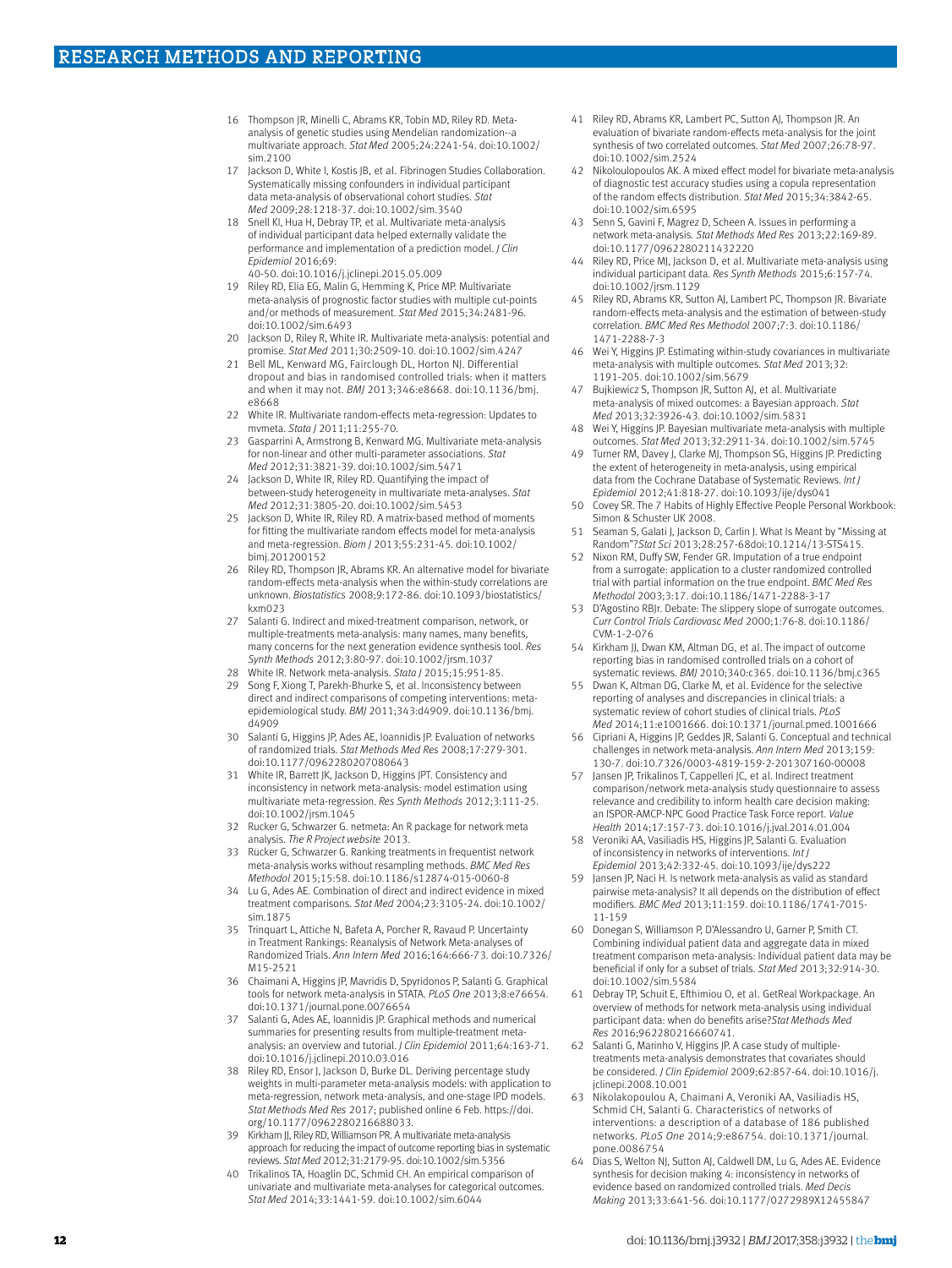- 16 Thompson JR, Minelli C, Abrams KR, Tobin MD, Riley RD. Metaanalysis of genetic studies using Mendelian randomization--a multivariate approach. *Stat Med* 2005;24:2241-54. doi:10.1002/ sim.2100
- 17 Jackson D, White I, Kostis JB, et al. Fibrinogen Studies Collaboration. Systematically missing confounders in individual participant data meta-analysis of observational cohort studies. *Stat Med* 2009;28:1218-37. doi:10.1002/sim.3540
- 18 Snell KI, Hua H, Debray TP, et al. Multivariate meta-analysis of individual participant data helped externally validate the performance and implementation of a prediction model. *J Clin Epidemiol* 2016;69: 40-50. doi:10.1016/j.jclinepi.2015.05.009
- 19 Riley RD, Elia EG, Malin G, Hemming K, Price MP. Multivariate meta-analysis of prognostic factor studies with multiple cut-points and/or methods of measurement. *Stat Med* 2015;34:2481-96. doi:10.1002/sim.6493
- 20 Jackson D, Riley R, White IR. Multivariate meta-analysis: potential and promise. *Stat Med* 2011;30:2509-10. doi:10.1002/sim.4247
- 21 Bell ML, Kenward MG, Fairclough DL, Horton NJ. Differential dropout and bias in randomised controlled trials: when it matters and when it may not. *BMJ* 2013;346:e8668. doi:10.1136/bmj. e8668
- 22 White IR. Multivariate random-effects meta-regression: Updates to mvmeta. *Stata J* 2011;11:255-70.
- 23 Gasparrini A, Armstrong B, Kenward MG. Multivariate meta-analysis for non-linear and other multi-parameter associations. *Stat Med* 2012;31:3821-39. doi:10.1002/sim.5471
- 24 Jackson D, White IR, Riley RD. Quantifying the impact of between-study heterogeneity in multivariate meta-analyses. *Stat Med* 2012;31:3805-20. doi:10.1002/sim.5453
- Jackson D, White IR, Riley RD. A matrix-based method of moments for fitting the multivariate random effects model for meta-analysis and meta-regression. *Biom J* 2013;55:231-45. doi:10.1002/ bimj.201200152
- 26 Riley RD, Thompson JR, Abrams KR. An alternative model for bivariate random-effects meta-analysis when the within-study correlations are unknown. *Biostatistics* 2008;9:172-86. doi:10.1093/biostatistics/ kxm023
- Salanti G. Indirect and mixed-treatment comparison, network, or multiple-treatments meta-analysis: many names, many benefits, many concerns for the next generation evidence synthesis tool. *Res Synth Methods* 2012;3:80-97. doi:10.1002/jrsm.1037
- 28 White IR. Network meta-analysis. *Stata J* 2015;15:951-85.
- 29 Song F, Xiong T, Parekh-Bhurke S, et al. Inconsistency between direct and indirect comparisons of competing interventions: metaepidemiological study. *BMJ* 2011;343:d4909. doi:10.1136/bmj. d4909
- 30 Salanti G, Higgins JP, Ades AE, Ioannidis JP. Evaluation of networks of randomized trials. *Stat Methods Med Res* 2008;17:279-301. doi:10.1177/0962280207080643
- 31 White IR, Barrett JK, Jackson D, Higgins JPT. Consistency and inconsistency in network meta-analysis: model estimation using multivariate meta-regression. *Res Synth Methods* 2012;3:111-25. doi:10.1002/jrsm.1045
- 32 Rucker G, Schwarzer G. netmeta: An R package for network meta analysis. *The R Project website* 2013.
- 33 Rücker G, Schwarzer G. Ranking treatments in frequentist network meta-analysis works without resampling methods. *BMC Med Res Methodol* 2015;15:58. doi:10.1186/s12874-015-0060-8
- 34 Lu G, Ades AE. Combination of direct and indirect evidence in mixed treatment comparisons. *Stat Med* 2004;23:3105-24. doi:10.1002/ sim.1875
- 35 Trinquart L, Attiche N, Bafeta A, Porcher R, Ravaud P. Uncertainty in Treatment Rankings: Reanalysis of Network Meta-analyses of Randomized Trials. *Ann Intern Med* 2016;164:666-73. doi:10.7326/ M15-2521
- 36 Chaimani A, Higgins JP, Mavridis D, Spyridonos P, Salanti G. Graphical tools for network meta-analysis in STATA. *PLoS One* 2013;8:e76654. doi:10.1371/journal.pone.0076654
- 37 Salanti G, Ades AE, Ioannidis JP. Graphical methods and numerical summaries for presenting results from multiple-treatment metaanalysis: an overview and tutorial. *J Clin Epidemiol* 2011;64:163-71. doi:10.1016/j.jclinepi.2010.03.016
- 38 Riley RD, Ensor J, Jackson D, Burke DL. Deriving percentage study weights in multi-parameter meta-analysis models: with application to meta-regression, network meta-analysis, and one-stage IPD models. *Stat Methods Med Res* 2017; published online 6 Feb. [https://doi.](https://doi.org/10.1177/0962280216688033) [org/10.1177/0962280216688033](https://doi.org/10.1177/0962280216688033).
- 39 Kirkham JJ, Riley RD, Williamson PR. A multivariate meta-analysis approach for reducing the impact of outcome reporting bias in systematic reviews. *Stat Med* 2012;31:2179-95. doi:10.1002/sim.5356
- Trikalinos TA, Hoaglin DC, Schmid CH. An empirical comparison of univariate and multivariate meta-analyses for categorical outcomes. *Stat Med* 2014;33:1441-59. doi:10.1002/sim.6044
- 41 Riley RD, Abrams KR, Lambert PC, Sutton AJ, Thompson JR. An evaluation of bivariate random-effects meta-analysis for the joint synthesis of two correlated outcomes. *Stat Med* 2007;26:78-97. doi:10.1002/sim.2524
- 42 Nikoloulopoulos AK. A mixed effect model for bivariate meta-analysis of diagnostic test accuracy studies using a copula representation of the random effects distribution. *Stat Med* 2015;34:3842-65. doi:10.1002/sim.6595
- 43 Senn S, Gavini F, Magrez D, Scheen A. Issues in performing a network meta-analysis. *Stat Methods Med Res* 2013;22:169-89. doi:10.1177/0962280211432220
- 44 Riley RD, Price MJ, Jackson D, et al. Multivariate meta-analysis using individual participant data. *Res Synth Methods* 2015;6:157-74. doi:10.1002/jrsm.1129
- 45 Riley RD, Abrams KR, Sutton AJ, Lambert PC, Thompson JR. Bivariate random-effects meta-analysis and the estimation of between-study correlation. *BMC Med Res Methodol* 2007;7:3. doi:10.1186/ 1471-2288-7-3
- 46 Wei Y, Higgins JP. Estimating within-study covariances in multivariate meta-analysis with multiple outcomes. *Stat Med* 2013;32: 1191-205. doi:10.1002/sim.5679
- 47 Bujkiewicz S, Thompson JR, Sutton AJ, et al. Multivariate meta-analysis of mixed outcomes: a Bayesian approach. *Stat Med* 2013;32:3926-43. doi:10.1002/sim.5831
- 48 Wei Y, Higgins JP. Bayesian multivariate meta-analysis with multiple outcomes. *Stat Med* 2013;32:2911-34. doi:10.1002/sim.5745
- 49 Turner RM, Davey J, Clarke MJ, Thompson SG, Higgins JP. Predicting the extent of heterogeneity in meta-analysis, using empirical data from the Cochrane Database of Systematic Reviews. *Int J Epidemiol* 2012;41:818-27. doi:10.1093/ije/dys041
- 50 Covey SR. The 7 Habits of Highly Effective People Personal Workbook: Simon & Schuster UK 2008.
- 51 Seaman S, Galati J, Jackson D, Carlin J. What Is Meant by "Missing at Random"?*Stat Sci* 2013;28:257-68doi:10.1214/13-STS415.
- 52 Nixon RM, Duffy SW, Fender GR. Imputation of a true endpoint from a surrogate: application to a cluster randomized controlled trial with partial information on the true endpoint. *BMC Med Res Methodol* 2003;3:17. doi:10.1186/1471-2288-3-17
- 53 D'Agostino RBJr. Debate: The slippery slope of surrogate outcomes. *Curr Control Trials Cardiovasc Med* 2000;1:76-8. doi:10.1186/ CVM-1-2-076
- 54 Kirkham JJ, Dwan KM, Altman DG, et al. The impact of outcome reporting bias in randomised controlled trials on a cohort of systematic reviews. *BMJ* 2010;340:c365. doi:10.1136/bmj.c365
- 55 Dwan K, Altman DG, Clarke M, et al. Evidence for the selective reporting of analyses and discrepancies in clinical trials: a systematic review of cohort studies of clinical trials. *PLoS Med* 2014;11:e1001666. doi:10.1371/journal.pmed.1001666
- 56 Cipriani A, Higgins JP, Geddes JR, Salanti G. Conceptual and technical challenges in network meta-analysis. *Ann Intern Med* 2013;159: 130-7. doi:10.7326/0003-4819-159-2-201307160-00008
- Jansen JP, Trikalinos T, Cappelleri JC, et al. Indirect treatment comparison/network meta-analysis study questionnaire to assess relevance and credibility to inform health care decision making: an ISPOR-AMCP-NPC Good Practice Task Force report. *Value Health* 2014;17:157-73. doi:10.1016/j.jval.2014.01.004
- 58 Veroniki AA, Vasiliadis HS, Higgins JP, Salanti G. Evaluation of inconsistency in networks of interventions. *Int J Epidemiol* 2013;42:332-45. doi:10.1093/ije/dys222
- Jansen JP, Naci H. Is network meta-analysis as valid as standard pairwise meta-analysis? It all depends on the distribution of effect modifiers. *BMC Med* 2013;11:159. doi:10.1186/1741-7015- 11-159
- 60 Donegan S, Williamson P, D'Alessandro U, Garner P, Smith CT. Combining individual patient data and aggregate data in mixed treatment comparison meta-analysis: Individual patient data may be beneficial if only for a subset of trials. *Stat Med* 2013;32:914-30. doi:10.1002/sim.5584
- 61 Debray TP, Schuit E, Efthimiou O, et al. GetReal Workpackage. An overview of methods for network meta-analysis using individual participant data: when do benefits arise?*Stat Methods Med Res* 2016;962280216660741.
- 62 Salanti G, Marinho V, Higgins JP. A case study of multipletreatments meta-analysis demonstrates that covariates should be considered. *J Clin Epidemiol* 2009;62:857-64. doi:10.1016/j. jclinepi.2008.10.001
- 63 Nikolakopoulou A, Chaimani A, Veroniki AA, Vasiliadis HS, Schmid CH, Salanti G. Characteristics of networks of interventions: a description of a database of 186 published networks. *PLoS One* 2014;9:e86754. doi:10.1371/journal. pone.0086754
- 64 Dias S, Welton NJ, Sutton AJ, Caldwell DM, Lu G, Ades AE. Evidence synthesis for decision making 4: inconsistency in networks of evidence based on randomized controlled trials. *Med Decis Making* 2013;33:641-56. doi:10.1177/0272989X12455847